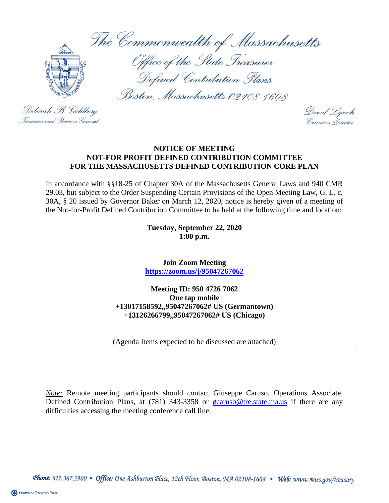The Commonwealth of Massachusetts



Office of the State Treasurer Defined Contribution Plans

Boston, Massachusetts 02108-1608

Deborah B. Goldberg Treasurer and . Receiver General

David Lynch Execution Director

## **NOTICE OF MEETING NOT-FOR PROFIT DEFINED CONTRIBUTION COMMITTEE FOR THE MASSACHUSETTS DEFINED CONTRIBUTION CORE PLAN**

In accordance with §§18-25 of Chapter 30A of the Massachusetts General Laws and 940 CMR 29.03, but subject to the Order Suspending Certain Provisions of the Open Meeting Law, G. L. c. 30A, § 20 issued by Governor Baker on March 12, 2020, notice is hereby given of a meeting of the Not-for-Profit Defined Contribution Committee to be held at the following time and location:

> **Tuesday, September 22, 2020 1:00 p.m.**

**Join Zoom Meeting <https://zoom.us/j/95047267062>**

**Meeting ID: 950 4726 7062 One tap mobile +13017158592,,95047267062# US (Germantown) +13126266799,,95047267062# US (Chicago)**

(Agenda Items expected to be discussed are attached)

*Note:* Remote meeting participants should contact Giuseppe Caruso, Operations Associate, Defined Contribution Plans, at (781) 343-3358 or [gcaruso@tre.state.ma.us](mailto:gcaruso@tre.state.ma.us) if there are any difficulties accessing the meeting conference call line.

Phone: 617.367.3900 • Office: One Ashburton Place, 12th Floor, Boston, MA 02108-1608 • Web: www.mass.gov/treasury